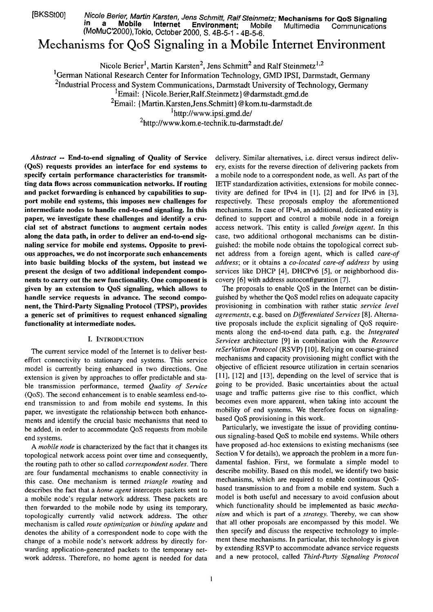[BKSStOO] Nicole Berier. Martin Karsten, Jens Schmitf, Ralf Sfeinmetz; **Mechanisms for QoS Signaling in a Mobile lnternet Environment;** Mobile Multimedia Cornrnunications (MoMuC'2000),Tokio, October 2000, S. 4B-5-1 - 48-56.

# Mechanisms for QoS Signaling in a Mobile Internet Environment

Nicole Berier<sup>1</sup>, Martin Karsten<sup>2</sup>, Jens Schmitt<sup>2</sup> and Ralf Steinmetz<sup>1,2</sup>

<sup>1</sup>German National Research Center for Information Technology, GMD IPSI, Darmstadt, Germany

<sup>2</sup>Industrial Process and System Communications, Darmstadt University of Technology, Germany

<sup>1</sup>Email: {Nicole.Berier,Ralf.Steinmetz} @darmstadt.gmd.de

<sup>2</sup>Email: {Martin.Karsten,Jens.Schmitt} @kom.tu-darmstadt.de

**<sup>I</sup>**http://www.ipsi.gmd.de/

**2http://www.kom.e-technik.tu-darmstadt.de/** 

*Abstract* -- **End-to-end signaling of Quality of Service (QoS) requests provides an interface for end systems to specify certain performance characteristics for transmitting data flows across communication networks. If routing**  and packet forwarding is enhanced by capabilities to sup**port mobile end systems, this imposes new challenges for intermediate nodes to handle end-to-end signaling. In this paper, we investigate these challenges and identify a crucial set of abstract functions to augment certain nodes along the data path, in order to deliver an end-to-end signaling service for mobile end systems. Opposite to previous approaches, we do not incorporate such enhancements into basic building blocks of the system, but instead we present the design of two additional independent components to carry out the new functionality. One component is given by an extension to QoS signaling, which allows to handle service requests in advance. The second component, the Third-Party Signaling Protocol (TPSP), provides a generic set of primitives to request enhanced signaling functionality at intermediate nodes.** 

#### **I. INTRODUCTION**

The current service model of the Internet is to deliver besteffort connectivity to stationary end systems. This service model is currently being enhanced in two directions. One extension is given by approaches to offer predictable and stable transmission performance, termed *Quality of Service*  (QoS). The second enhancement is to enable seamless end-toend transmission to and from mobile end systems. In this paper, we investigate the relationship between both enhancements and identify the crucial basic mechanisms that need to be added, in order to accommodate QoS requests from mobile end systems.

A *mobile node* is characterized by the fact that it changes its topological network access point over time and consequently, the routing path to other so called *correspondent nodes.* There are four fundamental mechanisms to enable connectivity in this case. One mechanism is termed *triangle routing* and describes the fact that a *home agent* intercepts packets sent to a mobile node's regular network address. These packets are then forwarded to the mobile node by using its temporary, topologically currently valid network address. **The** other mechanism is called *route optimization* or *binding update* and denotes the ability of a correspondent node to cope with the change of a mobile node's network address by directly forwarding application-generated packets to the temporary network address. Therefore, no home agent is needed for data delivery. Similar alternatives, i.e. direct versus indirect delivery, exists for the reverse direction of delivering packets from a mobile node to a correspondent node, as well. As part of the IETF standardization activities, extensions for mobile connectivity are defined for IPv4 in [I], [2] and for IPv6 in [3], respectively. These proposals employ the aforementioned mechanisms. In case of IPv4, an additional, dedicated entity is defined to Support and control a mobile node in a foreign access network. This entity is called *foreign agent.* In this case, two additional orthogonal mechanisms can be distinguished: the mobile node obtains the topological correct subnet address from a foreign agent, which is called *care-of address;* or it obtains a *CO-located care-of address* by using services like DHCP [4], DHCPv6 [5], or neighborhood discovery [6] with address autoconfiguration [7].

The proposals to enable QoS in the Internet can be distinguished by whether the QoS model relies on adequate capacity provisioning in combination with rather static *service level agreements,* e.g. based on *Differentiated Services* [8]. Alternative proposals include the explicit signaling of QoS requirements along the end-to-end data path, e.g. the *Integrated Services* architecture [9] in combination with the *Resource reSerVation Protocol* (RSVP) [10]. Relying on coarse-grained mechanisms and capacity provisioning might conflict with the objective of efficient resource utilization in certain scenarios [11], [12] and [13], depending on the level of service that is going to be provided. Basic uncertainties about the actual usage and traffic patterns give rise to this conflict, which becomes even more apparent, when taking into account the mobility of end systems. We therefore focus on signalingbased QoS provisioning in this work.

Particularly, we investigate the issue of providing continuous signaling-based QoS to mobile end systems. While others have proposed ad-hoc extensions to existing mechanisms (see Section V for details), we approach the problem in a more fundamental fashion. First, we formulate a simple model to describe mobility. Based on this model, we identify two basic mechanisms, which are required to enable continuous QoSbased transmission to and from a mobile end system. Such a model is both useful and necessary to avoid confusion about which functionality should be implemented as basic *mechanism* and which is part of a *strategy.* Thereby, we can show that all other proposals are encompassed by this model. We then specify and discuss the respective technology to implement these mechanisms. In particular, this technology is given by extending RSVP to accommodate advance service requests and a new protocol, called *Third-Party Signaling Protocol*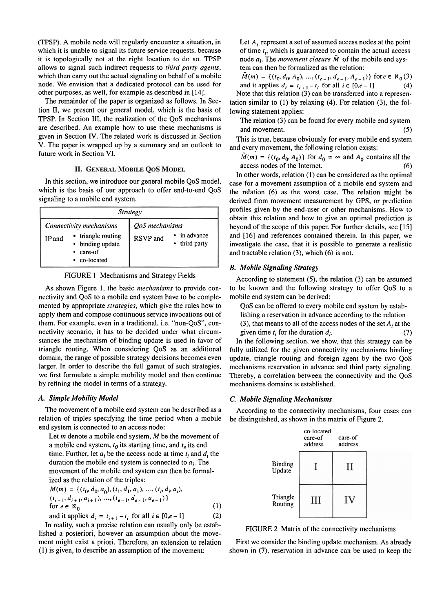(TPSP). A mobile node will regularly encounter a situation, in which it is unable to signal its future service requests, because it is topologically not at the right location to do so. TPSP allows to signal such indirect requests to *third party agents,*  which then carry out the actual signaling on behalf of a mobile node. We envision that a dedicated protocol can be used for other purposes, as well, for example as described in *[14].* 

The remainder of the paper is organized as follows. In Section 11, we present our general model, which is the basis of TPSP. In Section 111, the realization of the QoS mechanisms are described. An example how to use these mechanisms is given in Section IV. The related work is discussed in Section V. The paper is wrapped up by a Summary and an outlook to future work in Section VI.

#### **II. GENERAL MOBILE QOS MODEL**

In this section, we introduce our general mobile QoS model, which is the basis of our approach to offer end-to-end QoS signaling to a mobile end system.

| <b>Strategy</b>                                                                                        |                                                         |
|--------------------------------------------------------------------------------------------------------|---------------------------------------------------------|
| Connectivity mechanisms<br>• triangle routing<br>IP and<br>• binding update<br>care-of<br>• co-located | QoS mechanisms<br>in advance<br>RSVP and<br>third party |

FIGURE 1 Mechanisms and Strategy Fields

As shown Figure 1, the basic *mechanisms* to provide connectivity and QoS to a mobile end system have to be complemented by appropriate *strategies,* which give the rules how to apply them and compose continuous service invocations out of them. For example, even in a traditional, i.e. "non-QoS', connectivity scenario, it has to be decided under what circumstances the mechanism of binding update is used in favor of triangle routing. When considering QoS as an additional domain, the range of possible strategy decisions becomes even larger. In order to describe the full gamut of such strategies, we first formulate a simple mobility model and then continue by refining the model in terms of a strategy.

The movement of a mobile end system can be described as a relation of triples specifying the time period when a mobile end system is connected to an access node:

Let  $m$  denote a mobile end system,  $M$  be the movement of a mobile end system,  $t_0$  its starting time, and  $t_e$  its end time. Further, let  $a_i$  be the access node at time  $t_i$  and  $d_i$  the duration the mobile end system is connected to  $a_i$ . The movement of the mobile end system can then be formalized as the relation of the triples:

$$
M(m) = \{ (t_0, d_0, a_0), (t_1, d_1, a_1), ..., (t_i, d_i, a_i),
$$
  
\n
$$
(t_{i+1}, d_{i+1}, a_{i+1}), ..., (t_{e-1}, d_{e-1}, a_{e-1}) \}
$$
  
\nfor  $e \in \aleph_0$  (1)

and it applies  $d_i = t_{i+1} - t_i$  for all  $i \in [0, e-1]$  (2) In reality, such a precise relation can usually only be estab-

In reality, such a precise relation can usually only be estab-<br>lished a posteriori, however an assumption about the move-<br>lished a posteriori, however an assumption about the movement might exist a priori. Therefore, an extension to relation First we consider the binding update mechanism. As already

Let *A<sub>i</sub>* represent a set of assumed access nodes at the point of time *ti,* which is guaranteed to contain the actual access node  $a_i$ . The *movement closure*  $\tilde{M}$  of the mobile end system can then be formalized as the relation:

 $\tilde{M}(m) = \{(t_0, d_0, A_0), ..., (t_{e-1}, d_{e-1}, A_{e-1})\}$  for  $e \in \aleph_0(3)$ and it applies  $d_i = t_{i+1} - t_i$  for all  $i \in [0, e-1]$  (4) Note that this relation **(3)** can be transferred into a represen-

tation similar to *(1)* by relaxing *(4).* For relation *(3),* the following statement applies:

The relation *(3)* can be found for every mobile end system and movement. **(5) (5)** 

This is true, because obviously for every mobile end system and every movement, the following relation exists:

 $\tilde{M}(m) = \{ (t_0, d_0, A_0) \}$  for  $d_0 = \infty$  and  $A_0$  contains all the access nodes of the Internet. **(6)** 

In other words, relation *(I)* can be considered as the optimal case for a movement assumption of a mobile end system and the relation *(6)* as the worst case. The relation might be derived from movement measurement by GPS, or prediction profiles given by the end-user or other mechanisms. How to obtain this relation and how to give an optimal prediction is beyond of the scope of this paper. For further details, see *[15]*  and *[16]* and references contained therein. In this paper, we investigate the case, that it is possible to generate a realistic and tractable relation **(3),** which *(6)* is not.

# *B. Mobile Signaling Strategy*

According to statement **(9,** the relation *(3)* can be assumed to be known and the following strategy to offer QoS to a mobile end system can be derived:

QoS can be offered to every mobile end system by establishing a reservation in advance according to the relation

*(3),* that means to all of the access nodes of the set *Ai* at the given time  $t_i$  for the duration  $d_i$ .  $(7)$ 

In the following section, we show, that this strategy can be fully utilized for the given connectivity mechanisms binding update, triangle routing and foreign agent by the two QoS mechanisms reservation in advance and third party signaling. Thereby, a correlation between the connectivity and the QoS mechanisms domains is established.

# *A. Simple Mobility Model C. Mobile Signaling Mechanisms*

According to the connectivity mechanisms, four cases can be distinguished, as shown in the matrix of Figure 2.



(I) is given, to describe an assumption of the movement: shown in **(7),** reservation in advance can be used to keep the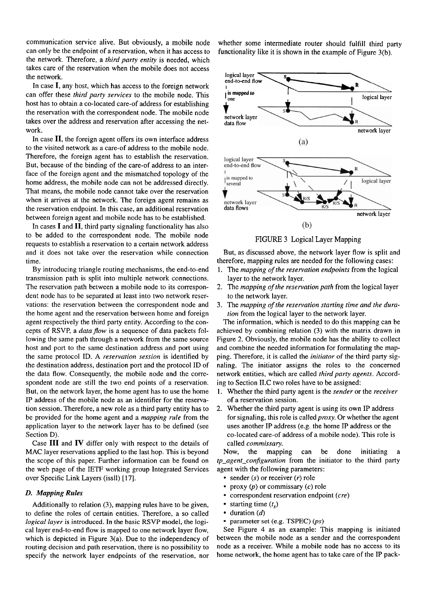communication service alive. But obviously, a mobile node whether some intermediate router should fulfill third party can only be the endpoint of a reservation, when it has access to functionality like it is shown in the e can only be the endpoint of a reservation, when it has access to functionality like it is shown in the example of Figure 3(b).<br>
the network. Therefore, a *third party entity* is needed, which<br>
takes care of the reservation the network. Therefore, a *third party entity* is needed, which takes care of the reservation when the mobile does not access the network.

In case I, any host, which has access to the foreign network can offer these third party services to the mobile node. This host has to obtain a CO-located care-of address for establishing the reservation with the correspondent node. The mobile node takes over the address and reservation after accessing the network.

In case **11,** the foreign agent offers its own interface address to the visited network as a care-of address to the mobile node. Therefore, the foreign agent has to establish the reservation. But, because of the binding of the care-of address to an interface of the foreign agent and the mismatched topology of the home address, the mobile node can not be addressed directly. That means, the mobile node cannot take over the reservation when it arrives at the network. The foreign agent remains as the reservation endpoint. In this case, an additional reservation between foreign agent and mobile node has to be established.

In cases I and **11,** third party signaling functionality has also to be added to the correspondent node. The mobile node requests to establish a reservation to a certain network address and it does not take over the reservation while connection time.

By introducing triangle routing mechanisms, the end-to-end transmission path is split into multiple network connections. The reservation path between a mobile node to its correspondent node has to be separated at least into two network reservations: the reservation between the correspondent node and the home agent and the reservation between home and foreign agent respectively the third party entity. According to the concepts of RSVP, a data flow is a sequence of data packets following the same path through a network from the same source host and port to the same destination address and port using the same protocol ID. **A** reservation session is identified by the destination address, destination port and the protocol ID of the data flow. Consequently, the mobile node and the correspondent node are still the two end points of a reservation. But, on the network layer, the home agent has to use the home IP address of the mobile node as an identifier for the reservation session. Therefore, a new role as a third party entity has to be provided for the home agent and a mapping rule from the application layer to the network layer has to be defined (see Section D).

Case III and **IV** differ only with respect to the details of MAC layer reservations applied to the last hop. This is beyond the scope of this paper. Further information can be found on the web Page of the IETF working group Integrated Services over Specific Link Layers (issll) [17].

#### *D. Mapping Rules*

Additionally to relation (3), mapping rules have to be given, to define the roles of certain entities. Therefore, a so called logical layer is introduced. In the basic RSVP model, the logical layer end-to-end flow is mapped to one network layer flow, which is depicted in Figure 3(a). Due to the independency of routing decision and path reservation, there is no possibility to specify the network layer endpoints of the reservation, nor



FIGURE 3 Logical Layer Mapping

But, as discussed above, the network layer flow is split and therefore, mapping rules are needed for the following cases:

- 1. The mapping of the reservation endpoints from the logical layer to the network layer.
- 2. The mapping of the reservation path from the logical layer to the network layer.
- 3. The mapping of the reservation starting time and the duration from the logical layer to the network layer.

The information, which is needed to do this mapping can be achieved by combining relation (3) with the matrix drawn in Figure 2. Obviously, the mobile node has the ability to collect and combine the needed information for formulating the mapping. Therefore, it is called the initiator of the third party signaling. The initiator assigns the roles to the concerned network entities, which are called third party agents. According to Section 1I.C two roles have to be assigned:

- 1. Whether the third party agent is the sender or the receiver of a reservation session.
- 2. Whether the third party agent is using its own IP address for signaling, this role is called  $proxy$ . Or whether the agent uses another IP address (e.g. the home IP address or the CO-located care-of address of a mobile node). This role is called commissary.

Now, the mapping can be done initiating a  $tp\_agent\_configuration$  from the initiator to the third party agent with the following parameters:

- sender  $(s)$  or receiver  $(r)$  role
- proxy  $(p)$  or commissary  $(c)$  role
- $\bullet$  correspondent reservation endpoint (cre)
- starting time  $(t<sub>s</sub>)$
- duration (d)
- parameter set (e.g. TSPEC) (ps)

See Figure 4 as an example: This mapping is initiated between the mobile node as a sender and the correspondent node as a receiver. While a mobile node has no access to its home network, the home agent has to take care of the IP pack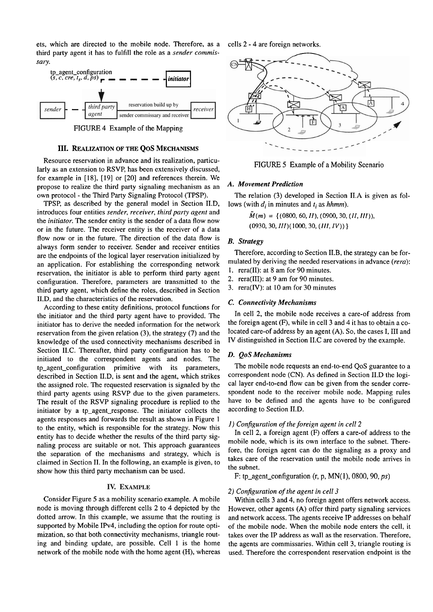ets, which are directed to the mobile node. Therefore, as a third party agent it has to fulfill the role as a *sender commis-*



FIGURE 4 Example of the Mapping

#### **111. REALIZATION OF THE QoS MECHANISMS**

Resource reservation in advance and its realization, particularly as an extension to RSVP, has been extensively discussed, for example in [18], [19] or [20] and references therein. We propose to realize the third party signaling mechanism as an own protocol - the Third Party Signaling Protocol (TPSP).

TPSP, as described by the general model in Section II.D, introduces four entities *sender, receiver, third party agent* and the *initiator.* The sender entity is the sender of a data flow now or in the future. The receiver entity is the receiver of a data flow now or in the future. The direction of the data flow is always form sender to receiver. Sender and receiver entities are the endpoints of the logical layer reservation initialized by an application. For establishing the corresponding network reservation, the initiator is able to perform third party agent configuration. Therefore, parameters are transmitted to the third party agent, which define the roles, described in Section II.D, and the characteristics of the reservation.

According to these entity definitions, protocol functions for the initiator and the third party agent have to provided. The initiator has to derive the needed information for the network reservation from the given relation (3), the strategy (7) and the knowledge of the used connectivity mechanisms described in Section 1I.C. Thereafter, third party configuration has to be initiated to the correspondent agents and nodes. The tp-agent-configuration primitive with its parameters, described in Section U.D, is sent and the agent, which strikes the assigned role. The requested reservation is signaled by the third party agents using RSVP due to the given parameters. The result of the RSVP signaling procedure is replied to the initiator by a tp\_agent\_response. The initiator collects the agents responses and forwards the result as shown in Figure 1 to the entity, which is responsible for the strategy. Now this entity has to decide whether the results of the third party signaling process are suitable or not. This approach guarantees the separation of the mechanisms and strategy, which is claimed in Section 11. In the following, an example is given, to show how this third party mechanism can be used.

#### **IV. EXAMPLE**

Consider Figure 5 as a mobility scenario example. A mobile node is moving through different cells 2 to 4 depicted by the dotted arrow. In this example, we assume that the routing is supported by Mobile IPv4, including the option for route optimization, so that both connectivity mechanisms, triangle routing and binding update, are possible. Cell 1 is the home network of the mobile node with the home agent (H), whereas



FIGURE 5 Example of a Mobility Scenario

#### *A. Movement Prediction*

The relation (3) developed in Section 1I.A is given as follows (with *d<sub>i</sub>* in minutes and *t<sub>i</sub>* as *hhmm*).

> $\tilde{M}(m) = \{(0800, 60, II), (0900, 30, (II, III)),$ *(0930,30,111)(1000, 30, (111, IV)))*

### *B. Strategy*

Therefore, according to Section II.B, the strategy can be formulated by deriving the needed reservations in advance *(rera):* 

- I. rera(I1): at 8 am for 90 minutes.
- 2. rera(II1): at 9 am for 90 minutes.
- 3. rera(1V): at 10 am for 30 minutes

#### *C. Connectivity Mechanisms*

In cell 2, the mobile node receives a care-of address from the foreign agent  $(F)$ , while in cell 3 and 4 it has to obtain a colocated care-of address by an agent (A). So, the cases I, 111 and IV distinguished in Section 1I.C are covered by the example.

#### *D. QoS Mechanisms*

The mobile node requests an end-to-end QoS guarantee to a correspondent node (CN). As defined in Section 1I.D the logical layer end-to-end fiow can be given from the sender correspondent node to the receiver mobile node. Mapping rules have to be defined and the agents have to be configured according to Section 1I.D.

#### *I) Configuration of the foreign agent in cell2*

In cell 2, a foreign agent (F) offers a care-of address to the mobile node, which is its own interface to the subnet. Therefore, the foreign agent can do the signaling as a proxy and takes care of the reservation until the mobile node arrives in the subnet.

F: tp\_agent\_configuration  $(r, p, MN(1), 0800, 90, ps)$ 

#### *2) Configuration of the agent in cell3*

Within cells **3** and 4, no foreign agent offers network access. However, other agents  $(A)$  offer third party signaling services and network access. The agents receive IP addresses on behalf of the mobile node. When the mobile node enters the cell, it takes over the IP address as wall as the reservation. Therefore, the agents are commissaries. Within cell 3, triangle routing is used. Therefore the correspondent reservation endpoint is the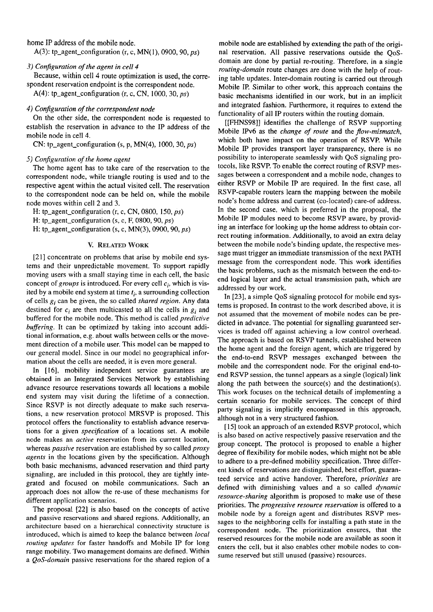home IP address of the mobile node.

A(3): tp\_agent\_configuration (r, c, MN(1), 0900, 90, *ps*)

#### *3) Conjiguration of the agent in cell4*

Because, within cell 4 route optimization is used, the correspondent reservation endpoint is the correspondent node.

A(4): tp\_agent\_configuration  $(r, c, CN, 1000, 30, ps)$ 

#### *4) Conjiguration of the correspondent node*

On the other side, the correspondent node is requested to establish the reservation in advance to the IP address of the mobile node in cell 4.

CN: tp\_agent\_configuration (s, p, MN(4), 1000, 30,  $ps$ )

#### *5) Conjiguration of the home agent*

The home agent has to take care of the reservation to the correspondent node, while triangle routing is used and to the respective agent within the actual visited cell. The reservation to the correspondent node can be held on, while the mobile node moves within cell 2 and 3.

H: tp-agent-configuration (r, C, CN, 0800, 150, *ps)* 

H: tp\_agent\_configuration (s, c, F, 0800, 90, *ps*)

H: tp\_agent\_configuration (s, c,  $MN(3)$ , 0900, 90,  $ps$ )

#### V. RELATED WORK

[21] concentrate on problems that arise by mobile end systems and their unpredictable movement. To support rapidly moving users with a small staying time in each cell, the basic concept of *groups* is introduced. For every cell *ci,* which is visited by a mobile end system at time *ti,* a surrounding collection of cells *gi* can be given, the so called *shared region.* Any data destined for *ci* are then multicasted to all the cells in *g;* and buffered for the mobile node. This method is called *predictive bufering.* It can be optimized by taking into account additional information, e.g. about walls between cells or the movement direction of a mobile user. This model can be mapped to our general model. Since in our model no geographical information about the cells are needed, it is even more general.

In [16], mobility independent service guarantees are obtained in an Integrated Services Network by establishing advance resource reservations towards all locations a mobile end system may visit during the lifetime of a connection. Since RSVP is not directly adequate to make such reservations, a new reservation protocol MRSVP is proposed. This protocol offers the functionality to establish advance reservations for a given *specification* of a locations set. A mobile node makes an *active* reservation from its current location, whereas *passive* reservation are established by so called *proxy agents* in the locations given by the specification. Although both basic mechanisms, advanced reservation and third party signaling, are included in this protocol, they are tightly integrated and focused on mobile communications. Such an approach does not allow the re-use of these mechanisms for different application scenarios.

The proposal [22] is also based on the concepts of active and passive reservations and shared regions. Additionally, an architecture based on a hierarchical connectivity structure is introduced, which is aimed to keep the balance between *local routing updates* for faster handoffs and Mobile IP for long range mobility. Two management domains are defined. Within a *QoS-domain* passive reservations for the shared region of a

mobile node are established by extending the path of the original reservation. All passive reservations outside the QoSdomain are done by partial re-routing. Therefore, in a single *routing-domain* route changes are done with the help of routing table updates. Inter-domain routing is carried out through Mobile IP. Similar to other work, this approach contains the basic mechanisms identified in our work, but in an implicit and integrated fashion. Furthermore, it requires to extend the functionality of all IP routers within the routing domain.

[[FHNS98]] identifies the challenge of RSVP supporting Mobile IPv6 as the *change of route* and the *flow-mismatch*, which both have impact on the operation of RSVP. While Mobile IP provides transport layer transparency, there is no possibility to interoperate seamlessly with QoS signaling protocols, like RSVP. To enable the correct routing of RSVP messages between a correspondent and a mobile node, changes to either RSVP or Mobile IP are required. In the first case, all RSVP-capable routers learn the mapping between the mobile node's home address and current (CO-located) care-of address. In the second case, which is preferred in the proposal, the Mobile IP modules need to become RSVP aware, by providing an interface for looking up the home address to obtain correct routing information. Additionally, to avoid an extra delay between the mobile node's binding update, the respective message must trigger an immediate transmission of the next PATH message from the correspondent node. This work identifies the basic problems, such as the mismatch between the end-toend logical layer and the actual transmission path, which are addressed by our work.

In [23], a simple QoS signaling protocol for mobile end systems is proposed. In contrast to the work described above, it is not assumed that the movement of mobile nodes can be predicted in advance. The potential for signalling guaranteed services is traded off against achieving a low control overhead. The approach is based on RSVP tunnels, estabiished between the home agent and the foreign agent, which are triggered by the end-to-end RSVP messages exchanged between the mobile and the correspondent node. For the original end-toend RSVP session, the tunnel appears as a single (logical) link along the path between the source(s) and the destination(s). This work focuses on the technical details of implementing a certain scenario for mobile services. The concept of third party signaling is implicitly encompassed in this approach, although not in a very structured fashion.

**[15]** took an approach of an extended RSVP protocol, which is also based on active respectively passive reservation and the group concept. The protocol is proposed to enable a higher degree of flexibility for mobile nodes, which might not be able to adhere to a pre-defined mobility specification. Three different kinds of reservations are distinguished, best effort, guaranteed service and active handover. Therefore, *priorities* are defined with diminishing values and a so called *dynamic resource-sharing* algorithm is proposed to make use of these priorities. The *progressive resource reservation* is offered to a mobile node by a foreign agent and distributes RSVP messages to the neighboring cells for installing a path state in the correspondent node. The prioritization ensures, that the reserved resources for the mobile node are available as soon it enters the cell, but it also enables other mobile nodes to consume reserved but still unused (passive) resources.